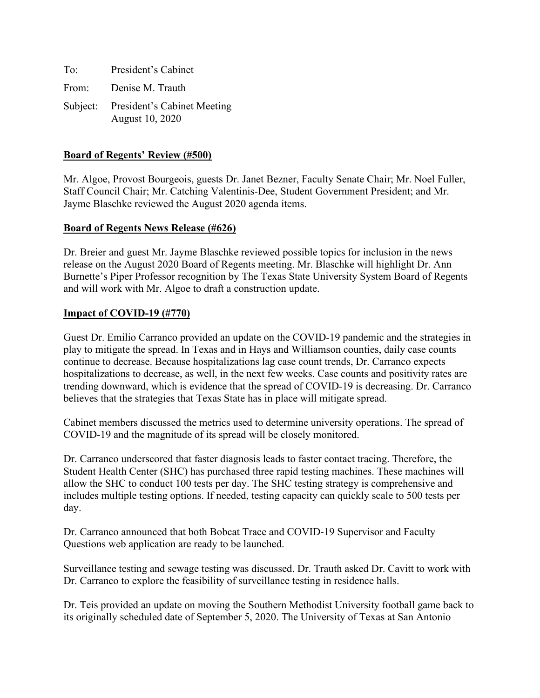To: President's Cabinet From: Denise M. Trauth Subject: President's Cabinet Meeting August 10, 2020

#### **Board of Regents' Review (#500)**

Mr. Algoe, Provost Bourgeois, guests Dr. Janet Bezner, Faculty Senate Chair; Mr. Noel Fuller, Staff Council Chair; Mr. Catching Valentinis-Dee, Student Government President; and Mr. Jayme Blaschke reviewed the August 2020 agenda items.

#### **Board of Regents News Release (#626)**

Dr. Breier and guest Mr. Jayme Blaschke reviewed possible topics for inclusion in the news release on the August 2020 Board of Regents meeting. Mr. Blaschke will highlight Dr. Ann Burnette's Piper Professor recognition by The Texas State University System Board of Regents and will work with Mr. Algoe to draft a construction update.

#### **Impact of COVID-19 (#770)**

Guest Dr. Emilio Carranco provided an update on the COVID-19 pandemic and the strategies in play to mitigate the spread. In Texas and in Hays and Williamson counties, daily case counts continue to decrease. Because hospitalizations lag case count trends, Dr. Carranco expects hospitalizations to decrease, as well, in the next few weeks. Case counts and positivity rates are trending downward, which is evidence that the spread of COVID-19 is decreasing. Dr. Carranco believes that the strategies that Texas State has in place will mitigate spread.

Cabinet members discussed the metrics used to determine university operations. The spread of COVID-19 and the magnitude of its spread will be closely monitored.

Dr. Carranco underscored that faster diagnosis leads to faster contact tracing. Therefore, the Student Health Center (SHC) has purchased three rapid testing machines. These machines will allow the SHC to conduct 100 tests per day. The SHC testing strategy is comprehensive and includes multiple testing options. If needed, testing capacity can quickly scale to 500 tests per day.

Dr. Carranco announced that both Bobcat Trace and COVID-19 Supervisor and Faculty Questions web application are ready to be launched.

Surveillance testing and sewage testing was discussed. Dr. Trauth asked Dr. Cavitt to work with Dr. Carranco to explore the feasibility of surveillance testing in residence halls.

Dr. Teis provided an update on moving the Southern Methodist University football game back to its originally scheduled date of September 5, 2020. The University of Texas at San Antonio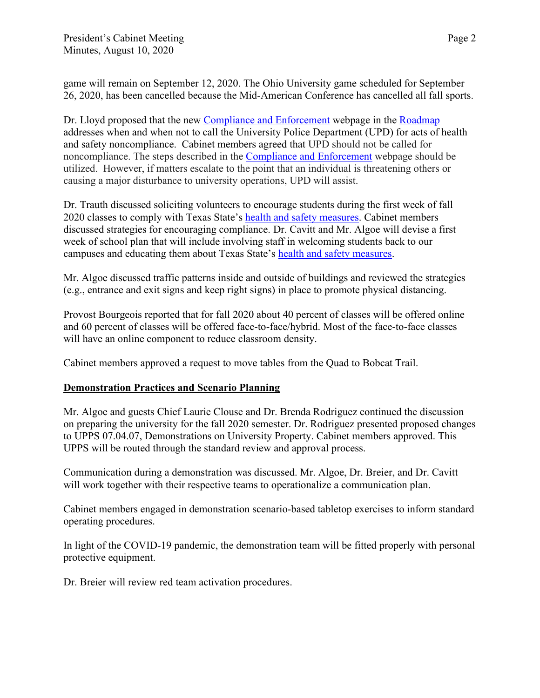game will remain on September 12, 2020. The Ohio University game scheduled for September 26, 2020, has been cancelled because the Mid-American Conference has cancelled all fall sports.

Dr. Lloyd proposed that the new [Compliance and Enforcement](https://www.txstate.edu/coronavirus/road-map/compliance.html) webpage in the [Roadmap](https://www.txstate.edu/coronavirus/road-map.html) addresses when and when not to call the University Police Department (UPD) for acts of health and safety noncompliance. Cabinet members agreed that UPD should not be called for noncompliance. The steps described in the [Compliance and Enforcement](https://www.txstate.edu/coronavirus/road-map/compliance.html) webpage should be utilized. However, if matters escalate to the point that an individual is threatening others or causing a major disturbance to university operations, UPD will assist.

Dr. Trauth discussed soliciting volunteers to encourage students during the first week of fall 2020 classes to comply with Texas State's [health and safety measures.](https://www.txstate.edu/coronavirus/road-map/health-and-safety-measures.html) Cabinet members discussed strategies for encouraging compliance. Dr. Cavitt and Mr. Algoe will devise a first week of school plan that will include involving staff in welcoming students back to our campuses and educating them about Texas State's [health and safety measures.](https://www.txstate.edu/coronavirus/road-map/health-and-safety-measures.html)

Mr. Algoe discussed traffic patterns inside and outside of buildings and reviewed the strategies (e.g., entrance and exit signs and keep right signs) in place to promote physical distancing.

Provost Bourgeois reported that for fall 2020 about 40 percent of classes will be offered online and 60 percent of classes will be offered face-to-face/hybrid. Most of the face-to-face classes will have an online component to reduce classroom density.

Cabinet members approved a request to move tables from the Quad to Bobcat Trail.

## **Demonstration Practices and Scenario Planning**

Mr. Algoe and guests Chief Laurie Clouse and Dr. Brenda Rodriguez continued the discussion on preparing the university for the fall 2020 semester. Dr. Rodriguez presented proposed changes to UPPS 07.04.07, Demonstrations on University Property. Cabinet members approved. This UPPS will be routed through the standard review and approval process.

Communication during a demonstration was discussed. Mr. Algoe, Dr. Breier, and Dr. Cavitt will work together with their respective teams to operationalize a communication plan.

Cabinet members engaged in demonstration scenario-based tabletop exercises to inform standard operating procedures.

In light of the COVID-19 pandemic, the demonstration team will be fitted properly with personal protective equipment.

Dr. Breier will review red team activation procedures.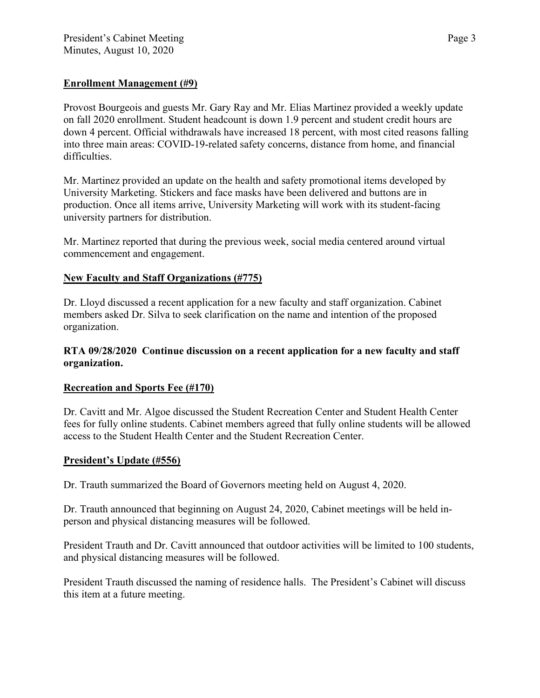# **Enrollment Management (#9)**

Provost Bourgeois and guests Mr. Gary Ray and Mr. Elias Martinez provided a weekly update on fall 2020 enrollment. Student headcount is down 1.9 percent and student credit hours are down 4 percent. Official withdrawals have increased 18 percent, with most cited reasons falling into three main areas: COVID-19-related safety concerns, distance from home, and financial difficulties.

Mr. Martinez provided an update on the health and safety promotional items developed by University Marketing. Stickers and face masks have been delivered and buttons are in production. Once all items arrive, University Marketing will work with its student-facing university partners for distribution.

Mr. Martinez reported that during the previous week, social media centered around virtual commencement and engagement.

# **New Faculty and Staff Organizations (#775)**

Dr. Lloyd discussed a recent application for a new faculty and staff organization. Cabinet members asked Dr. Silva to seek clarification on the name and intention of the proposed organization.

## **RTA 09/28/2020 Continue discussion on a recent application for a new faculty and staff organization.**

## **Recreation and Sports Fee (#170)**

Dr. Cavitt and Mr. Algoe discussed the Student Recreation Center and Student Health Center fees for fully online students. Cabinet members agreed that fully online students will be allowed access to the Student Health Center and the Student Recreation Center.

# **President's Update (#556)**

Dr. Trauth summarized the Board of Governors meeting held on August 4, 2020.

Dr. Trauth announced that beginning on August 24, 2020, Cabinet meetings will be held inperson and physical distancing measures will be followed.

President Trauth and Dr. Cavitt announced that outdoor activities will be limited to 100 students, and physical distancing measures will be followed.

President Trauth discussed the naming of residence halls. The President's Cabinet will discuss this item at a future meeting.